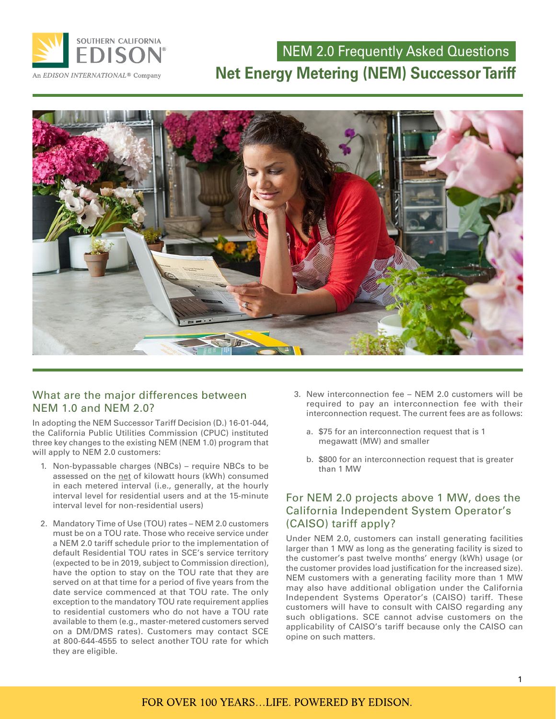

## NEM 2.0 Frequently Asked Questions **Net Energy Metering (NEM) Successor Tariff**



## What are the major differences between NEM 1.0 and NEM 2.0?

In adopting the NEM Successor Tariff Decision (D.) 16-01-044, the California Public Utilities Commission (CPUC) instituted three key changes to the existing NEM (NEM 1.0) program that will apply to NEM 2.0 customers:

- 1. Non-bypassable charges (NBCs) require NBCs to be assessed on the net of kilowatt hours (kWh) consumed in each metered interval (i.e., generally, at the hourly interval level for residential users and at the 15-minute interval level for non-residential users)
- 2. Mandatory Time of Use (TOU) rates NEM 2.0 customers must be on a TOU rate. Those who receive service under a NEM 2.0 tariff schedule prior to the implementation of default Residential TOU rates in SCE's service territory (expected to be in 2019, subject to Commission direction), have the option to stay on the TOU rate that they are served on at that time for a period of five years from the date service commenced at that TOU rate. The only exception to the mandatory TOU rate requirement applies to residential customers who do not have a TOU rate available to them (e.g., master-metered customers served on a DM/DMS rates). Customers may contact SCE at 800-644-4555 to select another TOU rate for which they are eligible.
- 3. New interconnection fee NEM 2.0 customers will be required to pay an interconnection fee with their interconnection request. The current fees are as follows:
	- a. \$75 for an interconnection request that is 1 megawatt (MW) and smaller
	- b. \$800 for an interconnection request that is greater than 1 MW

## For NEM 2.0 projects above 1 MW, does the California Independent System Operator's (CAISO) tariff apply?

Under NEM 2.0, customers can install generating facilities larger than 1 MW as long as the generating facility is sized to the customer's past twelve months' energy (kWh) usage (or the customer provides load justification for the increased size). NEM customers with a generating facility more than 1 MW may also have additional obligation under the California Independent Systems Operator's (CAISO) tariff. These customers will have to consult with CAISO regarding any such obligations. SCE cannot advise customers on the applicability of CAISO's tariff because only the CAISO can opine on such matters.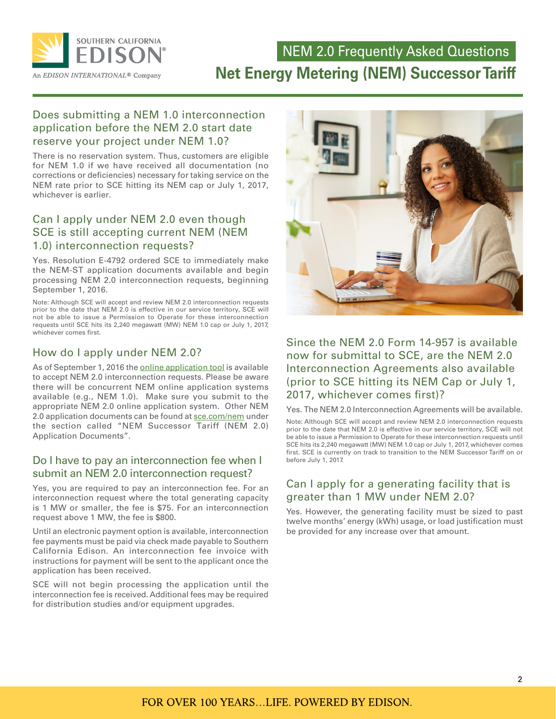

## NEM 2.0 Frequently Asked Questions **Net Energy Metering (NEM) Successor Tariff**

## Does submitting a NEM 1.0 interconnection application before the NEM 2.0 start date reserve your project under NEM 1.0?

There is no reservation system. Thus, customers are eligible for NEM 1.0 if we have received all documentation (no corrections or deficiencies) necessary for taking service on the NEM rate prior to SCE hitting its NEM cap or July 1, 2017, whichever is earlier.

## Can I apply under NEM 2.0 even though SCE is still accepting current NEM (NEM 1.0) interconnection requests?

Yes. Resolution E-4792 ordered SCE to immediately make the NEM-ST application documents available and begin processing NEM 2.0 interconnection requests, beginning September 1, 2016.

Note: Although SCE will accept and review NEM 2.0 interconnection requests prior to the date that NEM 2.0 is effective in our service territory, SCE will not be able to issue a Permission to Operate for these interconnection requests until SCE hits its 2,240 megawatt (MW) NEM 1.0 cap or July 1, 2017, whichever comes first.

## How do I apply under NEM 2.0?

As of September 1, 2016 the **online application tool** is available to accept NEM 2.0 interconnection requests. Please be aware there will be concurrent NEM online application systems available (e.g., NEM 1.0). Make sure you submit to the appropriate NEM 2.0 online application system. Other NEM 2.0 application documents can be found at [sce.com/nem](http://sce.com/nem) under the section called "NEM Successor Tariff (NEM 2.0) Application Documents".

#### Do I have to pay an interconnection fee when I submit an NEM 2.0 interconnection request?

Yes, you are required to pay an interconnection fee. For an interconnection request where the total generating capacity is 1 MW or smaller, the fee is \$75. For an interconnection request above 1 MW, the fee is \$800.

Until an electronic payment option is available, interconnection fee payments must be paid via check made payable to Southern California Edison. An interconnection fee invoice with instructions for payment will be sent to the applicant once the application has been received.

SCE will not begin processing the application until the interconnection fee is received. Additional fees may be required for distribution studies and/or equipment upgrades.



## Since the NEM 2.0 Form 14-957 is available now for submittal to SCE, are the NEM 2.0 Interconnection Agreements also available (prior to SCE hitting its NEM Cap or July 1, 2017, whichever comes first)?

Yes. The NEM 2.0 Interconnection Agreements will be available.

Note: Although SCE will accept and review NEM 2.0 interconnection requests prior to the date that NEM 2.0 is effective in our service territory, SCE will not be able to issue a Permission to Operate for these interconnection requests until SCE hits its 2,240 megawatt (MW) NEM 1.0 cap or July 1, 2017, whichever comes first. SCE is currently on track to transition to the NEM Successor Tariff on or before July 1, 2017.

## Can I apply for a generating facility that is greater than 1 MW under NEM 2.0?

Yes. However, the generating facility must be sized to past twelve months' energy (kWh) usage, or load justification must be provided for any increase over that amount.